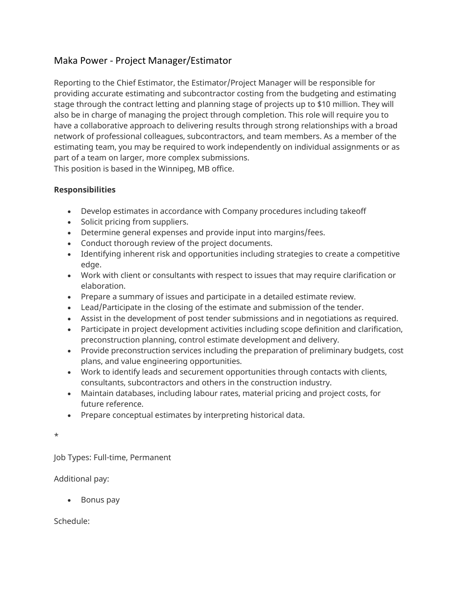## Maka Power - Project Manager/Estimator

Reporting to the Chief Estimator, the Estimator/Project Manager will be responsible for providing accurate estimating and subcontractor costing from the budgeting and estimating stage through the contract letting and planning stage of projects up to \$10 million. They will also be in charge of managing the project through completion. This role will require you to have a collaborative approach to delivering results through strong relationships with a broad network of professional colleagues, subcontractors, and team members. As a member of the estimating team, you may be required to work independently on individual assignments or as part of a team on larger, more complex submissions.

This position is based in the Winnipeg, MB office.

## **Responsibilities**

- Develop estimates in accordance with Company procedures including takeoff
- Solicit pricing from suppliers.
- Determine general expenses and provide input into margins/fees.
- Conduct thorough review of the project documents.
- Identifying inherent risk and opportunities including strategies to create a competitive edge.
- Work with client or consultants with respect to issues that may require clarification or elaboration.
- Prepare a summary of issues and participate in a detailed estimate review.
- Lead/Participate in the closing of the estimate and submission of the tender.
- Assist in the development of post tender submissions and in negotiations as required.
- Participate in project development activities including scope definition and clarification, preconstruction planning, control estimate development and delivery.
- Provide preconstruction services including the preparation of preliminary budgets, cost plans, and value engineering opportunities.
- Work to identify leads and securement opportunities through contacts with clients, consultants, subcontractors and others in the construction industry.
- Maintain databases, including labour rates, material pricing and project costs, for future reference.
- Prepare conceptual estimates by interpreting historical data.

\*

Job Types: Full-time, Permanent

Additional pay:

• Bonus pay

Schedule: